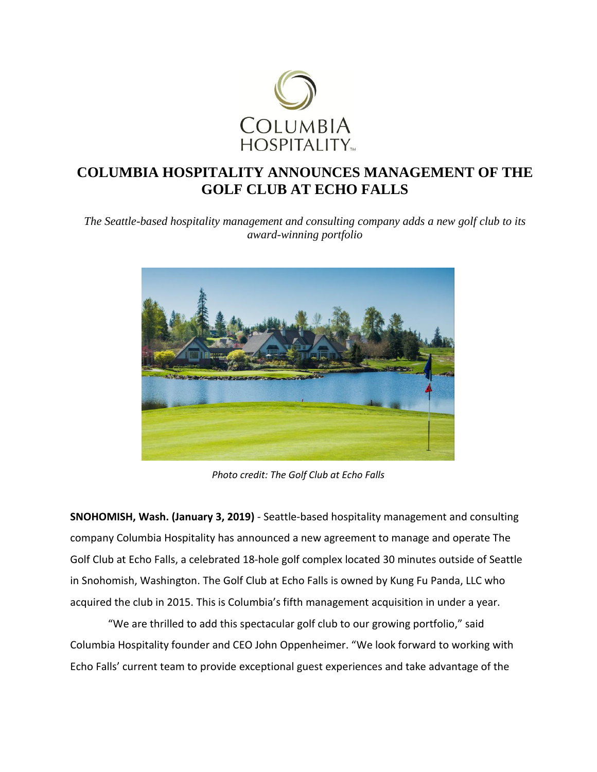

## **COLUMBIA HOSPITALITY ANNOUNCES MANAGEMENT OF THE GOLF CLUB AT ECHO FALLS**

*The Seattle-based hospitality management and consulting company adds a new golf club to its award-winning portfolio* 



*Photo credit: The Golf Club at Echo Falls*

**SNOHOMISH, Wash. (January 3, 2019)** - Seattle-based hospitality management and consulting company Columbia Hospitality has announced a new agreement to manage and operate The Golf Club at Echo Falls, a celebrated 18-hole golf complex located 30 minutes outside of Seattle in Snohomish, Washington. The Golf Club at Echo Falls is owned by Kung Fu Panda, LLC who acquired the club in 2015. This is Columbia's fifth management acquisition in under a year.

"We are thrilled to add this spectacular golf club to our growing portfolio," said Columbia Hospitality founder and CEO John Oppenheimer. "We look forward to working with Echo Falls' current team to provide exceptional guest experiences and take advantage of the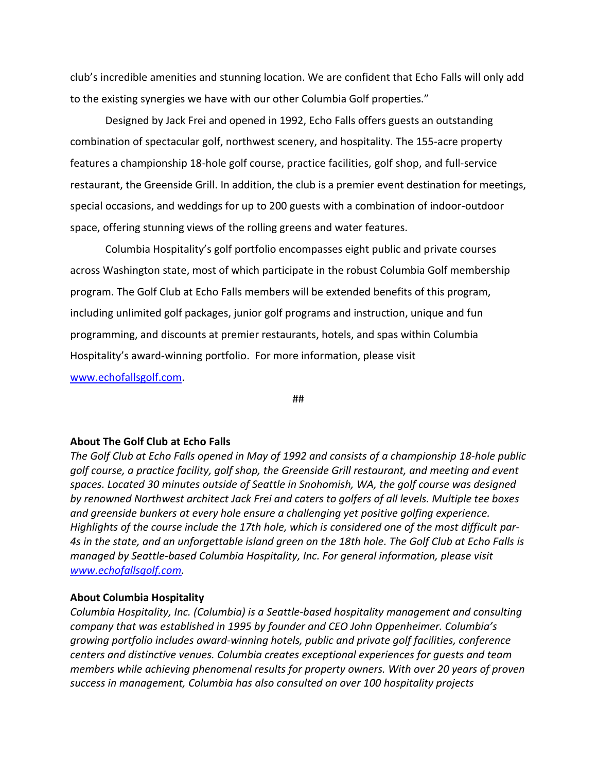club's incredible amenities and stunning location. We are confident that Echo Falls will only add to the existing synergies we have with our other Columbia Golf properties."

Designed by Jack Frei and opened in 1992, Echo Falls offers guests an outstanding combination of spectacular golf, northwest scenery, and hospitality. The 155-acre property features a championship 18-hole golf course, practice facilities, golf shop, and full-service restaurant, the Greenside Grill. In addition, the club is a premier event destination for meetings, special occasions, and weddings for up to 200 guests with a combination of indoor-outdoor space, offering stunning views of the rolling greens and water features.

Columbia Hospitality's golf portfolio encompasses eight public and private courses across Washington state, most of which participate in the robust Columbia Golf membership program. The Golf Club at Echo Falls members will be extended benefits of this program, including unlimited golf packages, junior golf programs and instruction, unique and fun programming, and discounts at premier restaurants, hotels, and spas within Columbia Hospitality's award-winning portfolio. For more information, please visit [www.echofallsgolf.com.](http://www.echofallsgolf.com/)

##

## **About The Golf Club at Echo Falls**

*The Golf Club at Echo Falls opened in May of 1992 and consists of a championship 18-hole public golf course, a practice facility, golf shop, the Greenside Grill restaurant, and meeting and event spaces. Located 30 minutes outside of Seattle in Snohomish, WA, the golf course was designed by renowned Northwest architect Jack Frei and caters to golfers of all levels. Multiple tee boxes and greenside bunkers at every hole ensure a challenging yet positive golfing experience. Highlights of the course include the 17th hole, which is considered one of the most difficult par-4s in the state, and an unforgettable island green on the 18th hole. The Golf Club at Echo Falls is managed by Seattle-based Columbia Hospitality, Inc. For general information, please visit [www.echofallsgolf.com.](http://www.echofallsgolf.com/)*

## **About Columbia Hospitality**

*Columbia Hospitality, Inc. (Columbia) is a Seattle-based hospitality management and consulting company that was established in 1995 by founder and CEO John Oppenheimer. Columbia's growing portfolio includes award-winning hotels, public and private golf facilities, conference centers and distinctive venues. Columbia creates exceptional experiences for guests and team members while achieving phenomenal results for property owners. With over 20 years of proven success in management, Columbia has also consulted on over 100 hospitality projects*